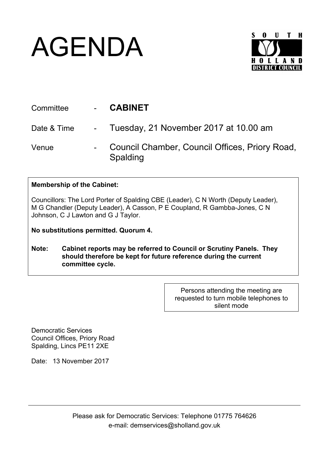## AGENDA



| Committee   | <b>CABINET</b>                                             |
|-------------|------------------------------------------------------------|
| Date & Time | - Tuesday, 21 November 2017 at 10.00 am                    |
| Venue       | Council Chamber, Council Offices, Priory Road,<br>Spalding |

## **Membership of the Cabinet:**

Councillors: The Lord Porter of Spalding CBE (Leader), C N Worth (Deputy Leader), M G Chandler (Deputy Leader), A Casson, P E Coupland, R Gambba-Jones, C N Johnson, C J Lawton and G J Taylor.

**No substitutions permitted. Quorum 4.**

**Note: Cabinet reports may be referred to Council or Scrutiny Panels. They should therefore be kept for future reference during the current committee cycle.** 

> Persons attending the meeting are requested to turn mobile telephones to silent mode

Democratic Services Council Offices, Priory Road Spalding, Lincs PE11 2XE

Date: 13 November 2017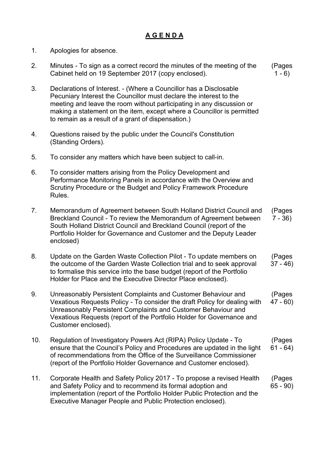## **A G E N D A**

- 1. Apologies for absence.
- 2. Minutes To sign as a correct record the minutes of the meeting of the Cabinet held on 19 September 2017 (copy enclosed). (Pages  $1 - 6$
- 3. Declarations of Interest. (Where a Councillor has a Disclosable Pecuniary Interest the Councillor must declare the interest to the meeting and leave the room without participating in any discussion or making a statement on the item, except where a Councillor is permitted to remain as a result of a grant of dispensation.)
- 4. Questions raised by the public under the Council's Constitution (Standing Orders).
- 5. To consider any matters which have been subject to call-in.
- 6. To consider matters arising from the Policy Development and Performance Monitoring Panels in accordance with the Overview and Scrutiny Procedure or the Budget and Policy Framework Procedure Rules.
- 7. Memorandum of Agreement between South Holland District Council and Breckland Council - To review the Memorandum of Agreement between South Holland District Council and Breckland Council (report of the Portfolio Holder for Governance and Customer and the Deputy Leader enclosed) (Pages 7 - 36)
- 8. Update on the Garden Waste Collection Pilot To update members on the outcome of the Garden Waste Collection trial and to seek approval to formalise this service into the base budget (report of the Portfolio Holder for Place and the Executive Director Place enclosed). (Pages 37 - 46)
- 9. Unreasonably Persistent Complaints and Customer Behaviour and Vexatious Requests Policy - To consider the draft Policy for dealing with Unreasonably Persistent Complaints and Customer Behaviour and Vexatious Requests (report of the Portfolio Holder for Governance and Customer enclosed). (Pages 47 - 60)
- 10. Regulation of Investigatory Powers Act (RIPA) Policy Update To ensure that the Council's Policy and Procedures are updated in the light of recommendations from the Office of the Surveillance Commissioner (report of the Portfolio Holder Governance and Customer enclosed). (Pages 61 - 64)
- 11. Corporate Health and Safety Policy 2017 To propose a revised Health and Safety Policy and to recommend its formal adoption and implementation (report of the Portfolio Holder Public Protection and the Executive Manager People and Public Protection enclosed). (Pages 65 - 90)